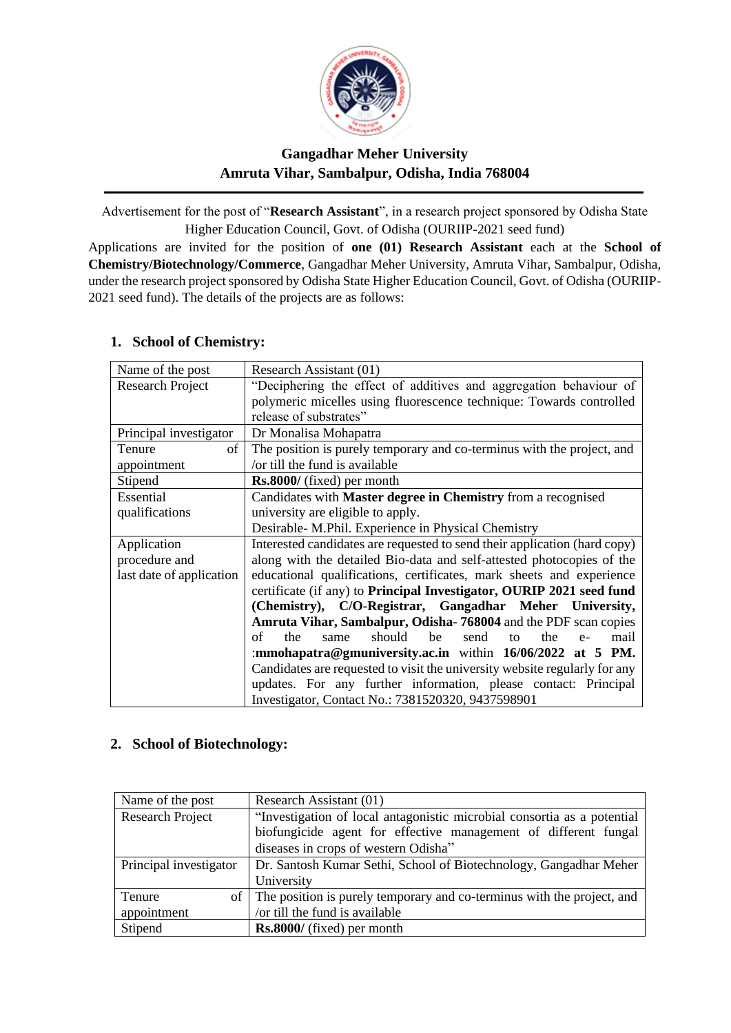

# **Gangadhar Meher University Amruta Vihar, Sambalpur, Odisha, India 768004**

Advertisement for the post of "**Research Assistant**", in a research project sponsored by Odisha State Higher Education Council, Govt. of Odisha (OURIIP-2021 seed fund)

Applications are invited for the position of **one (01) Research Assistant** each at the **School of Chemistry/Biotechnology/Commerce**, Gangadhar Meher University, Amruta Vihar, Sambalpur, Odisha, under the research project sponsored by Odisha State Higher Education Council, Govt. of Odisha (OURIIP-2021 seed fund). The details of the projects are as follows:

| Name of the post         | Research Assistant (01)                                                    |  |  |  |  |  |
|--------------------------|----------------------------------------------------------------------------|--|--|--|--|--|
| <b>Research Project</b>  | "Deciphering the effect of additives and aggregation behaviour of          |  |  |  |  |  |
|                          | polymeric micelles using fluorescence technique: Towards controlled        |  |  |  |  |  |
|                          | release of substrates"                                                     |  |  |  |  |  |
| Principal investigator   | Dr Monalisa Mohapatra                                                      |  |  |  |  |  |
| Tenure<br>of             | The position is purely temporary and co-terminus with the project, and     |  |  |  |  |  |
| appointment              | /or till the fund is available                                             |  |  |  |  |  |
| Stipend                  | <b>Rs.8000/</b> (fixed) per month                                          |  |  |  |  |  |
| Essential                | Candidates with Master degree in Chemistry from a recognised               |  |  |  |  |  |
| qualifications           | university are eligible to apply.                                          |  |  |  |  |  |
|                          | Desirable- M.Phil. Experience in Physical Chemistry                        |  |  |  |  |  |
| Application              | Interested candidates are requested to send their application (hard copy)  |  |  |  |  |  |
| procedure and            | along with the detailed Bio-data and self-attested photocopies of the      |  |  |  |  |  |
| last date of application | educational qualifications, certificates, mark sheets and experience       |  |  |  |  |  |
|                          | certificate (if any) to Principal Investigator, OURIP 2021 seed fund       |  |  |  |  |  |
|                          | (Chemistry), C/O-Registrar, Gangadhar Meher University,                    |  |  |  |  |  |
|                          | Amruta Vihar, Sambalpur, Odisha-768004 and the PDF scan copies             |  |  |  |  |  |
|                          | should<br>be<br>send<br>of<br>the<br>the<br>mail<br>same<br>to<br>$e-$     |  |  |  |  |  |
|                          | :mmohapatra@gmuniversity.ac.in within $16/06/2022$ at 5 PM.                |  |  |  |  |  |
|                          | Candidates are requested to visit the university website regularly for any |  |  |  |  |  |
|                          | updates. For any further information, please contact: Principal            |  |  |  |  |  |
|                          | Investigator, Contact No.: 7381520320, 9437598901                          |  |  |  |  |  |

## **1. School of Chemistry:**

## **2. School of Biotechnology:**

| Name of the post        | Research Assistant (01)                                                   |  |
|-------------------------|---------------------------------------------------------------------------|--|
| <b>Research Project</b> | "Investigation of local antagonistic microbial consortia as a potential   |  |
|                         | biofungicide agent for effective management of different fungal           |  |
|                         | diseases in crops of western Odisha"                                      |  |
| Principal investigator  | Dr. Santosh Kumar Sethi, School of Biotechnology, Gangadhar Meher         |  |
|                         | University                                                                |  |
| Tenure                  | of The position is purely temporary and co-terminus with the project, and |  |
| appointment             | /or till the fund is available                                            |  |
| Stipend                 | Rs.8000/ (fixed) per month                                                |  |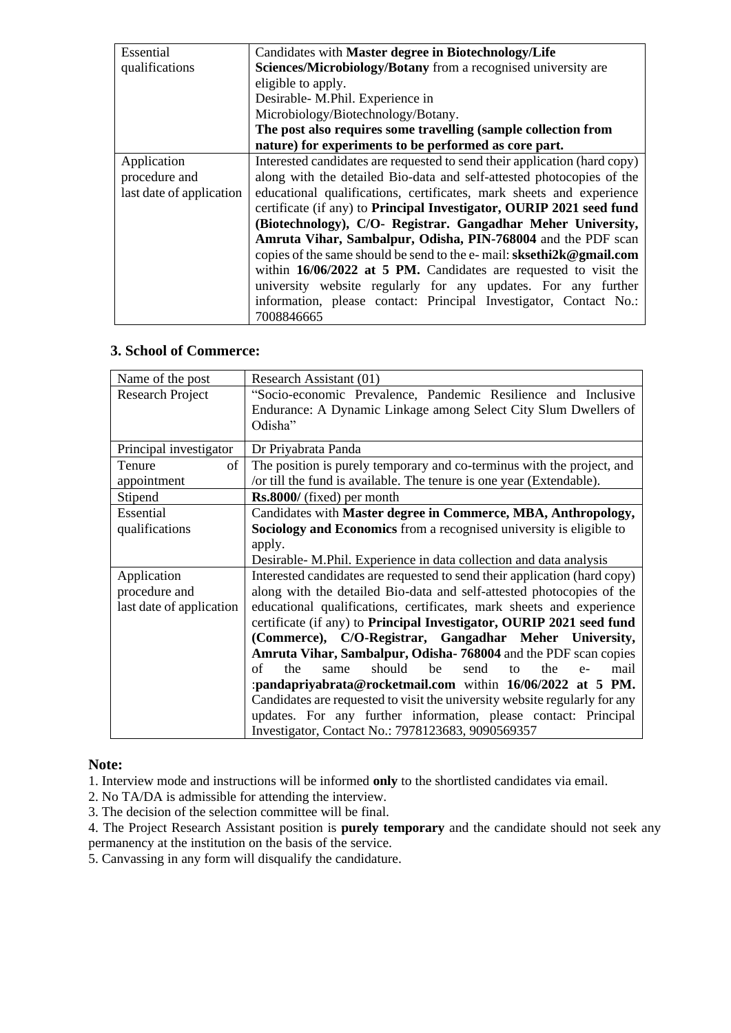| Essential                | Candidates with Master degree in Biotechnology/Life                                 |  |  |  |  |
|--------------------------|-------------------------------------------------------------------------------------|--|--|--|--|
| qualifications           | Sciences/Microbiology/Botany from a recognised university are                       |  |  |  |  |
|                          | eligible to apply.                                                                  |  |  |  |  |
|                          | Desirable- M.Phil. Experience in                                                    |  |  |  |  |
|                          | Microbiology/Biotechnology/Botany.                                                  |  |  |  |  |
|                          | The post also requires some travelling (sample collection from                      |  |  |  |  |
|                          | nature) for experiments to be performed as core part.                               |  |  |  |  |
| Application              | Interested candidates are requested to send their application (hard copy)           |  |  |  |  |
| procedure and            | along with the detailed Bio-data and self-attested photocopies of the               |  |  |  |  |
| last date of application | educational qualifications, certificates, mark sheets and experience                |  |  |  |  |
|                          | certificate (if any) to <b>Principal Investigator</b> , <b>OURIP</b> 2021 seed fund |  |  |  |  |
|                          | (Biotechnology), C/O- Registrar. Gangadhar Meher University,                        |  |  |  |  |
|                          | Amruta Vihar, Sambalpur, Odisha, PIN-768004 and the PDF scan                        |  |  |  |  |
|                          | copies of the same should be send to the e-mail: sksethi2k@gmail.com                |  |  |  |  |
|                          | within $16/06/2022$ at 5 PM. Candidates are requested to visit the                  |  |  |  |  |
|                          | university website regularly for any updates. For any further                       |  |  |  |  |
|                          | information, please contact: Principal Investigator, Contact No.:                   |  |  |  |  |
|                          | 7008846665                                                                          |  |  |  |  |

#### **3. School of Commerce:**

| Name of the post         | Research Assistant (01)                                                                                                          |  |  |  |  |  |
|--------------------------|----------------------------------------------------------------------------------------------------------------------------------|--|--|--|--|--|
| <b>Research Project</b>  | "Socio-economic Prevalence, Pandemic Resilience and Inclusive<br>Endurance: A Dynamic Linkage among Select City Slum Dwellers of |  |  |  |  |  |
|                          | Odisha"                                                                                                                          |  |  |  |  |  |
| Principal investigator   | Dr Priyabrata Panda                                                                                                              |  |  |  |  |  |
| Tenure<br>of             | The position is purely temporary and co-terminus with the project, and                                                           |  |  |  |  |  |
| appointment              | /or till the fund is available. The tenure is one year (Extendable).                                                             |  |  |  |  |  |
| Stipend                  | <b>Rs.8000/</b> (fixed) per month                                                                                                |  |  |  |  |  |
| Essential                | Candidates with Master degree in Commerce, MBA, Anthropology,                                                                    |  |  |  |  |  |
| qualifications           | Sociology and Economics from a recognised university is eligible to                                                              |  |  |  |  |  |
|                          | apply.                                                                                                                           |  |  |  |  |  |
|                          | Desirable- M.Phil. Experience in data collection and data analysis                                                               |  |  |  |  |  |
| Application              | Interested candidates are requested to send their application (hard copy)                                                        |  |  |  |  |  |
| procedure and            | along with the detailed Bio-data and self-attested photocopies of the                                                            |  |  |  |  |  |
| last date of application | educational qualifications, certificates, mark sheets and experience                                                             |  |  |  |  |  |
|                          | certificate (if any) to <b>Principal Investigator</b> , <b>OURIP</b> 2021 seed fund                                              |  |  |  |  |  |
|                          | (Commerce), C/O-Registrar, Gangadhar Meher University,                                                                           |  |  |  |  |  |
|                          | Amruta Vihar, Sambalpur, Odisha-768004 and the PDF scan copies                                                                   |  |  |  |  |  |
|                          | of<br>the<br>should<br>he<br>send<br>the<br>mail<br>same<br>tΩ<br>$e-$                                                           |  |  |  |  |  |
|                          | :pandapriyabrata@rocketmail.com within 16/06/2022 at 5 PM.                                                                       |  |  |  |  |  |
|                          | Candidates are requested to visit the university website regularly for any                                                       |  |  |  |  |  |
|                          | updates. For any further information, please contact: Principal                                                                  |  |  |  |  |  |
|                          | Investigator, Contact No.: 7978123683, 9090569357                                                                                |  |  |  |  |  |

#### **Note:**

1. Interview mode and instructions will be informed **only** to the shortlisted candidates via email.

- 2. No TA/DA is admissible for attending the interview.
- 3. The decision of the selection committee will be final.

4. The Project Research Assistant position is **purely temporary** and the candidate should not seek any permanency at the institution on the basis of the service.

5. Canvassing in any form will disqualify the candidature.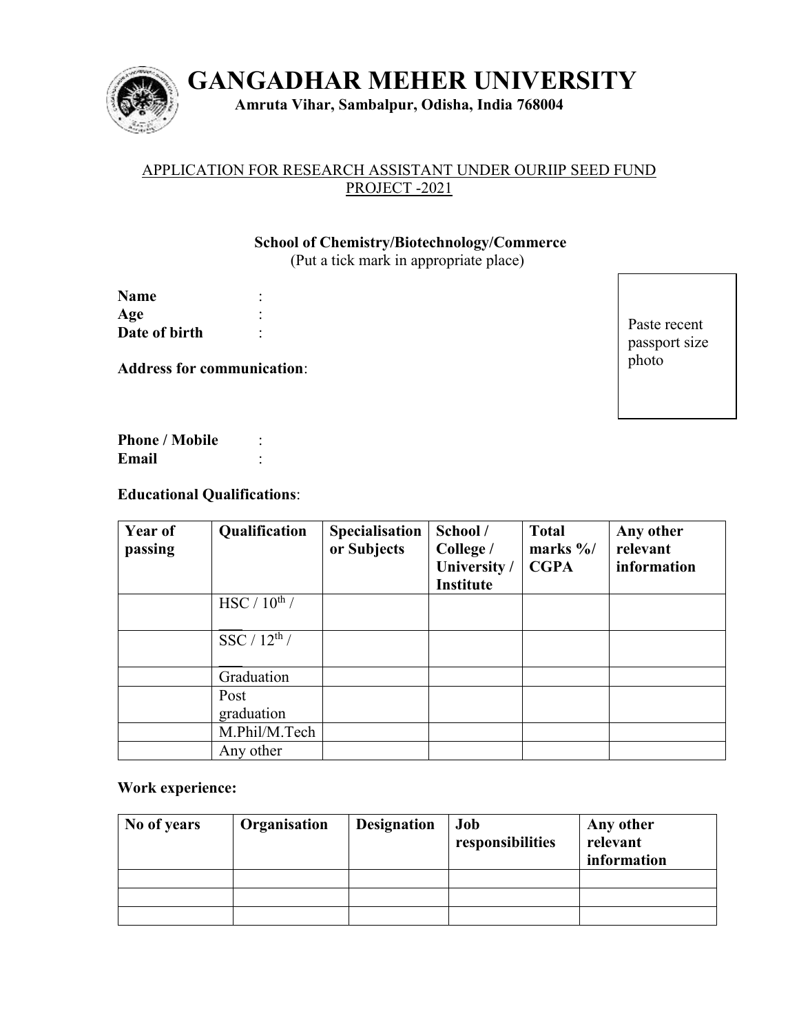

**GANGADHAR MEHER UNIVERSITY** 

**Amruta Vihar, Sambalpur, Odisha, India 768004**

## APPLICATION FOR RESEARCH ASSISTANT UNDER OURIIP SEED FUND PROJECT -2021

## **School of Chemistry/Biotechnology/Commerce**

(Put a tick mark in appropriate place)

| <b>Name</b>   |  |
|---------------|--|
| Age           |  |
| Date of birth |  |

**Address for communication**:

Paste recent passport size photo

Phone / Mobile : **Email** :

# **Educational Qualifications**:

| <b>Year of</b><br>passing | Qualification            | Specialisation<br>or Subjects | School /<br>College /<br>University /<br><b>Institute</b> | <b>Total</b><br>marks $\frac{9}{6}$<br><b>CGPA</b> | Any other<br>relevant<br>information |
|---------------------------|--------------------------|-------------------------------|-----------------------------------------------------------|----------------------------------------------------|--------------------------------------|
|                           | HSC / $10^{\text{th}}$ / |                               |                                                           |                                                    |                                      |
|                           | SSC / $12^{\text{th}}$ / |                               |                                                           |                                                    |                                      |
|                           | Graduation               |                               |                                                           |                                                    |                                      |
|                           | Post<br>graduation       |                               |                                                           |                                                    |                                      |
|                           | M.Phil/M.Tech            |                               |                                                           |                                                    |                                      |
|                           | Any other                |                               |                                                           |                                                    |                                      |

#### **Work experience:**

| No of years | Organisation | <b>Designation</b> | Job<br>responsibilities | Any other<br>relevant<br>information |
|-------------|--------------|--------------------|-------------------------|--------------------------------------|
|             |              |                    |                         |                                      |
|             |              |                    |                         |                                      |
|             |              |                    |                         |                                      |